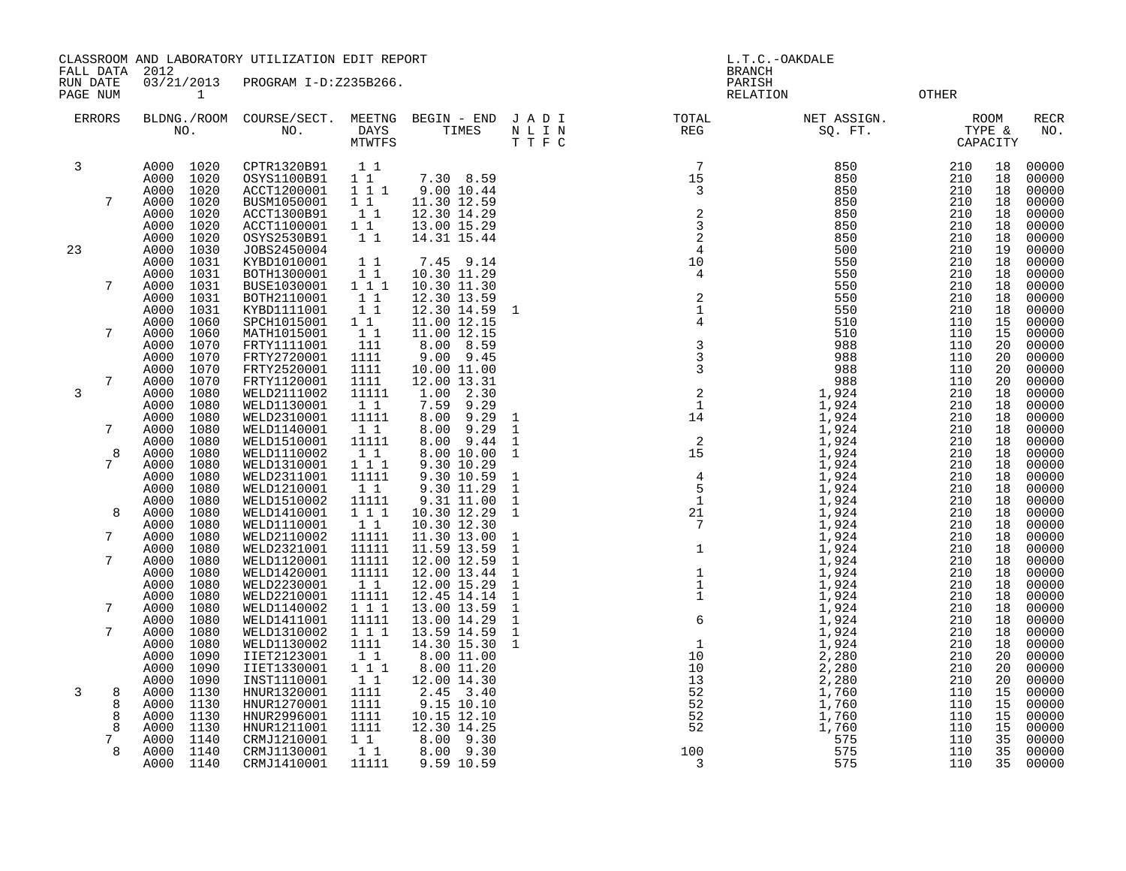CLASSROOM AND LABORATORY UTILIZATION EDIT REPORT AND REPORT THE L.T.C.-OAKDALE

FALL DATA 2012 BRANCH RUN DATE 03/21/2013 PROGRAM I-D:Z235B266.<br>PAGE NUM 1 RELATION PAGE NUM 1 CONTROLLER CONSUMER SERVER OF THE CONTROL OF THE RELATION COMPLETE OF THE CONTROL OF SERVER OF THE CONTROL OF THE CONTROL OF THE CONTROL OF THE CONTROL OF THE CONTROL OF THE CONTROL OF THE CONTROL OF THE CONTROL

|    | <b>ERRORS</b> |              | NO.          | BLDNG./ROOM COURSE/SECT.<br>NO. | MEETNG<br>DAYS<br><b>MTWTFS</b> | BEGIN - END<br>TIMES       | JADI<br>$\hbox{N}$ L I $\hbox{N}$<br>T T F C | TOTAL<br>$\mathbb{REG}$                                                 | NET ASSIGN.<br>SQ. FT. | TYPE &     | <b>ROOM</b><br>CAPACITY | <b>RECR</b><br>NO. |
|----|---------------|--------------|--------------|---------------------------------|---------------------------------|----------------------------|----------------------------------------------|-------------------------------------------------------------------------|------------------------|------------|-------------------------|--------------------|
| 3  |               | A000         | 1020         | CPTR1320B91                     | $1\quad1$                       |                            |                                              | $7\phantom{.0}$                                                         | 850                    | 210        | 18                      | 00000              |
|    |               | A000         | 1020         | OSYS1100B91                     | $1\quad1$                       | 7.30 8.59                  |                                              | $\begin{array}{c} \n \stackrel{1}{\cancel{5}} \\ 15 \\ 3\n \end{array}$ | 850                    | 210        | 18                      | 00000              |
|    |               | A000         | 1020         | ACCT1200001                     | 1 1 1                           | 9.00 10.44                 |                                              |                                                                         | 850                    | 210        | 18                      | 00000              |
|    | 7             | A000         | 1020         | BUSM1050001                     | 11                              | 11.30 12.59                |                                              |                                                                         | 850                    | 210        | 18                      | 00000              |
|    |               | A000         | 1020         | ACCT1300B91                     | 11                              | 12.30 14.29                |                                              |                                                                         | 850                    | 210        | 18                      | 00000              |
|    |               | A000         | 1020         | ACCT1100001                     | 1 1                             | 13.00 15.29                |                                              |                                                                         | 850                    | 210        | 18                      | 00000              |
|    |               | A000         | 1020         | OSYS2530B91                     | $1\quad1$                       | 14.31 15.44                |                                              | $\begin{array}{c} 2 \\ 3 \\ 2 \end{array}$                              | 850                    | 210        | 18                      | 00000              |
| 23 |               | A000         | 1030         | JOBS2450004                     |                                 |                            |                                              | $\overline{4}$                                                          | 500                    | 210        | 19                      | 00000              |
|    |               | A000         | 1031         | KYBD1010001                     | $1\quad1$                       | 7.45 9.14                  |                                              | $\begin{array}{c} 4 \\ 10 \\ 4 \end{array}$                             | 550                    | 210        | 18                      | 00000              |
|    |               | A000         | 1031         | BOTH1300001                     | $1\quad1$                       | 10.30 11.29                |                                              | $\overline{4}$                                                          | 550                    | 210        | 18                      | 00000              |
|    | 7             | A000         | 1031         | BUSE1030001                     | 111                             | 10.30 11.30                |                                              |                                                                         | 550                    | 210        | 18                      | 00000              |
|    |               | A000         | 1031         | BOTH2110001                     | 11                              | 12.30 13.59                |                                              | $\begin{array}{c} 2 \\ 1 \\ 4 \end{array}$                              | 550                    | 210        | 18                      | 00000              |
|    |               | A000         | 1031         | KYBD1111001                     | $1\quad1$                       | 12.30 14.59                | 1                                            |                                                                         | 550                    | 210        | 18                      | 00000              |
|    |               | A000         | 1060         | SPCH1015001                     | $1\quad1$                       | 11.00 12.15                |                                              |                                                                         | 510                    | 110        | 15                      | 00000              |
|    | 7             | A000         | 1060         | MATH1015001                     | $1\quad1$                       | 11.00 12.15                |                                              |                                                                         | 510                    | 110        | 15                      | 00000              |
|    |               | A000         | 1070         | FRTY1111001                     | 111                             | 8.00 8.59                  |                                              | $\begin{array}{c} 3 \\ 3 \\ 3 \end{array}$                              | 988                    | 110        | 20                      | 00000              |
|    |               | A000         | 1070         | FRTY2720001                     | 1111                            | 9.00 9.45                  |                                              |                                                                         | 988                    | 110        | 20                      | 00000              |
|    |               | A000         | 1070         | FRTY2520001                     | 1111                            | 10.00 11.00                |                                              |                                                                         | 988                    | 110        | 20                      | 00000              |
|    | 7             | A000         | 1070         | FRTY1120001                     | 1111                            | 12.00 13.31                |                                              |                                                                         | 988                    | 110        | 20                      | 00000              |
| 3  |               | A000         | 1080         | WELD2111002                     | 11111                           | 2.30<br>1.00               |                                              | $\begin{array}{c} 2 \\ 1 \end{array}$                                   | 1,924                  | 210        | 18                      | 00000              |
|    |               | A000         | 1080         | WELD1130001                     | 1 1                             | 7.59<br>9.29               |                                              |                                                                         | 1,924                  | 210        | 18                      | 00000              |
|    |               | A000         | 1080         | WELD2310001                     | 11111                           | 8.00<br>9.29               | $\mathbf{1}$                                 | $1\overline{4}$                                                         | 1,924                  | 210        | 18                      | 00000              |
|    | 7             | A000         | 1080         | WELD1140001                     | 11                              | 8.00<br>9.29               | $\mathbf{1}$                                 |                                                                         | 1,924                  | 210        | 18                      | 00000              |
|    |               | A000         | 1080         | WELD1510001                     | 11111                           | 9.44<br>8.00               | $\mathbf{1}$                                 | $\begin{array}{c} 2 \\ 15 \end{array}$                                  | 1,924                  | 210        | 18                      | 00000              |
|    | 8             | A000         | 1080         | WELD1110002                     | 1 1                             | 8.00 10.00                 | $\mathbf{1}$                                 |                                                                         | $1,924$<br>$1,924$     | 210        | 18                      | 00000              |
|    | 7             | A000         | 1080         | WELD1310001                     | 111                             | 9.30 10.29                 |                                              | $\begin{array}{cc} & 4 \\ 5 \\ 1 \\ 21 \\ 7 \\ 1 \end{array}$           |                        | 210        | 18                      | 00000              |
|    |               | A000         | 1080         | WELD2311001                     | 11111                           | 9.30 10.59                 | 1                                            |                                                                         | 1,924                  | 210        | 18                      | 00000              |
|    |               | A000         | 1080         | WELD1210001                     | 11                              | 9.30 11.29                 | $\mathbf{1}$                                 |                                                                         | 1,924<br>1,924         | 210        | 18                      | 00000              |
|    | 8             | A000         | 1080         | WELD1510002                     | 11111                           | 9.31 11.00                 | $\mathbf 1$<br>$\mathbf{1}$                  |                                                                         | 1,924                  | 210<br>210 | 18                      | 00000<br>00000     |
|    |               | A000<br>A000 | 1080<br>1080 | WELD1410001<br>WELD1110001      | 111<br>1 1                      | 10.30 12.29<br>10.30 12.30 |                                              |                                                                         | 1,924                  | 210        | 18<br>18                | 00000              |
|    | 7             | A000         | 1080         | WELD2110002                     | 11111                           | 11.30 13.00                | 1                                            |                                                                         | 1,924                  | 210        | 18                      | 00000              |
|    |               | A000         | 1080         | WELD2321001                     | 11111                           | 11.59 13.59                | 1                                            |                                                                         | 1,924                  | 210        | 18                      | 00000              |
|    | 7             | A000         | 1080         | WELD1120001                     | 11111                           | 12.00 12.59                | $\mathbf{1}$                                 |                                                                         | 1,924                  | 210        | 18                      | 00000              |
|    |               | A000         | 1080         | WELD1420001                     | 11111                           | 12.00 13.44                | $\mathbf{1}$                                 |                                                                         | 1,924                  | 210        | 18                      | 00000              |
|    |               | A000         | 1080         | WELD2230001                     | 1 1                             | 12.00 15.29                | 1                                            | $\begin{smallmatrix}1\\1\\1\\1\end{smallmatrix}$                        | 1,924                  | 210        | 18                      | 00000              |
|    |               | A000         | 1080         | WELD2210001                     | 11111                           | 12.45 14.14                | 1                                            |                                                                         | 1,924                  | 210        | 18                      | 00000              |
|    | 7             | A000         | 1080         | WELD1140002                     | 111                             | 13.00 13.59                | $\mathbf{1}$                                 | $\frac{1}{6}$                                                           | 1,924                  | 210        | 18                      | 00000              |
|    |               | A000         | 1080         | WELD1411001                     | 11111                           | 13.00 14.29                | $\mathbf{1}$                                 |                                                                         | 1,924                  | 210        | 18                      | 00000              |
|    | 7             | A000         | 1080         | WELD1310002                     | 111                             | 13.59 14.59                | $\mathbf{1}$                                 |                                                                         | 1,924                  | 210        | 18                      | 00000              |
|    |               | A000         | 1080         | WELD1130002                     | 1111                            | 14.30 15.30                | $\mathbf{1}$                                 | $\frac{1}{2}$                                                           | 1,924                  | 210        | 18                      | 00000              |
|    |               | A000         | 1090         | IIET2123001                     | 11                              | 8.00 11.00                 |                                              | 10                                                                      | 2,280                  | 210        | 20                      | 00000              |
|    |               | A000         | 1090         | IIET1330001                     | 1 1 1                           | 8.00 11.20                 |                                              | 10                                                                      | 2,280                  | 210        | 20                      | 00000              |
|    |               | A000         | 1090         | INST1110001                     | 1 1                             | 12.00 14.30                |                                              | 13                                                                      | 2,280                  | 210        | 20                      | 00000              |
| 3  | 8             | A000         | 1130         | HNUR1320001                     | 1111                            | 2.45 3.40                  |                                              | 52                                                                      | 1,760                  | 110        | 15                      | 00000              |
|    | 8             | A000         | 1130         | HNUR1270001                     | 1111                            | 9.15 10.10                 |                                              | 52                                                                      | 1,760                  | 110        | 15                      | 00000              |
|    | 8             | A000         | 1130         | HNUR2996001                     | 1111                            | 10.15 12.10                |                                              | 52                                                                      | 1,760                  | 110        | 15                      | 00000              |
|    | 8             | A000         | 1130         | HNUR1211001                     | 1111                            | 12.30 14.25                |                                              | 52                                                                      | 1,760                  | 110        | 15                      | 00000              |
|    | 7             | A000         | 1140         | CRMJ1210001                     | $1\quad1$                       | 9.30<br>8.00               |                                              |                                                                         | 575                    | 110        | 35                      | 00000              |
|    | 8             | A000         | 1140         | CRMJ1130001                     | 1 1                             | 8.00 9.30                  |                                              | 100                                                                     | 575                    | 110        | 35                      | 00000              |
|    |               | A000         | 1140         | CRMJ1410001                     | 11111                           | 9.59 10.59                 |                                              | 3                                                                       | 575                    | 110        | 35                      | 00000              |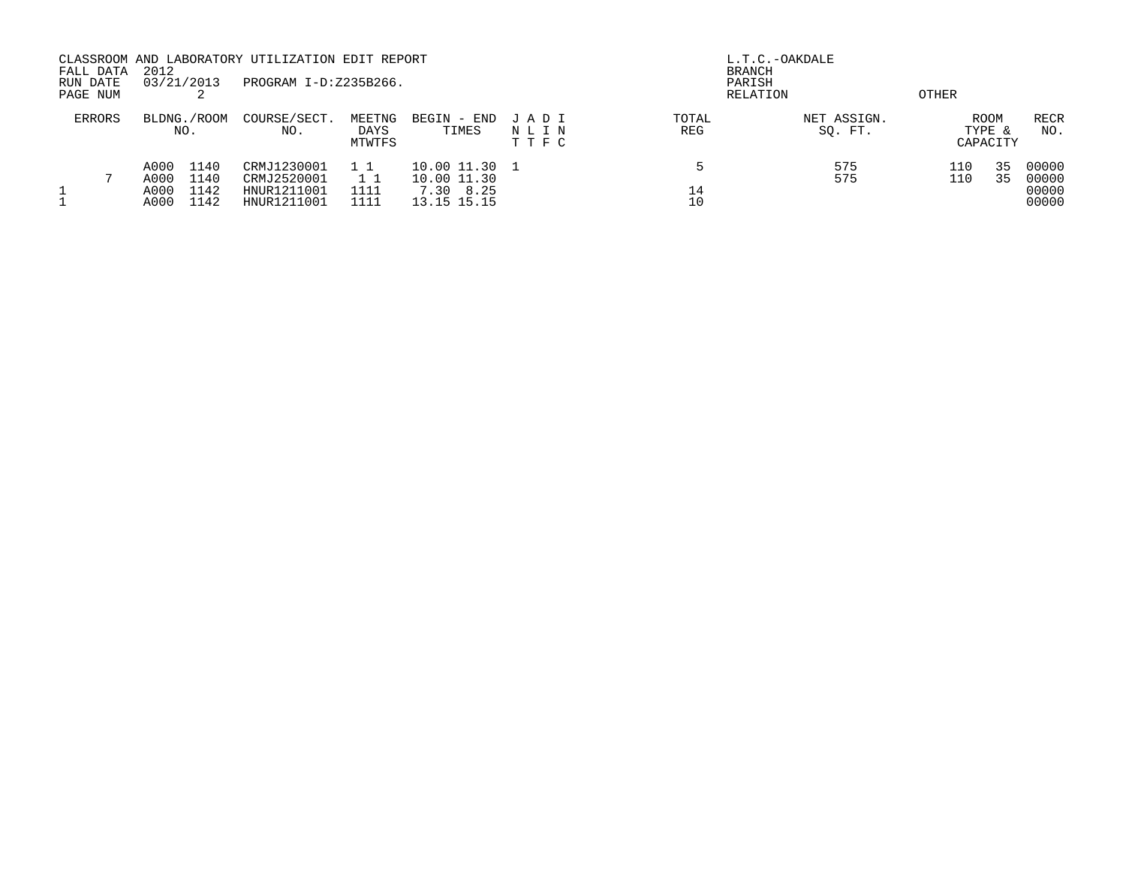| FALL DATA<br>RUN DATE<br>PAGE NUM | 2012<br>03/21/2013                                           | CLASSROOM AND LABORATORY UTILIZATION EDIT REPORT<br>PROGRAM I-D:Z235B266. |                          |                                                          |                         | <b>BRANCH</b><br>PARISH<br>RELATION | L.T.C.-OAKDALE         | OTHER      |                                   |                                  |
|-----------------------------------|--------------------------------------------------------------|---------------------------------------------------------------------------|--------------------------|----------------------------------------------------------|-------------------------|-------------------------------------|------------------------|------------|-----------------------------------|----------------------------------|
| <b>ERRORS</b>                     | BLDNG./ROOM<br>NO.                                           | COURSE/SECT.<br>NO.                                                       | MEETNG<br>DAYS<br>MTWTFS | BEGIN - END<br>TIMES                                     | JADI<br>NLIN<br>T T F C | TOTAL<br>REG                        | NET ASSIGN.<br>SQ. FT. |            | <b>ROOM</b><br>TYPE &<br>CAPACITY | RECR<br>NO.                      |
|                                   | A000<br>1140<br>A000<br>1140<br>1142<br>A000<br>A000<br>1142 | CRMJ1230001<br>CRMJ2520001<br>HNUR1211001<br>HNUR1211001                  | 1111<br>1111             | 10.00 11.30 1<br>10.00 11.30<br>7.30 8.25<br>13.15 15.15 |                         | 14<br>10                            | 575<br>575             | 110<br>110 | 35<br>35                          | 00000<br>00000<br>00000<br>00000 |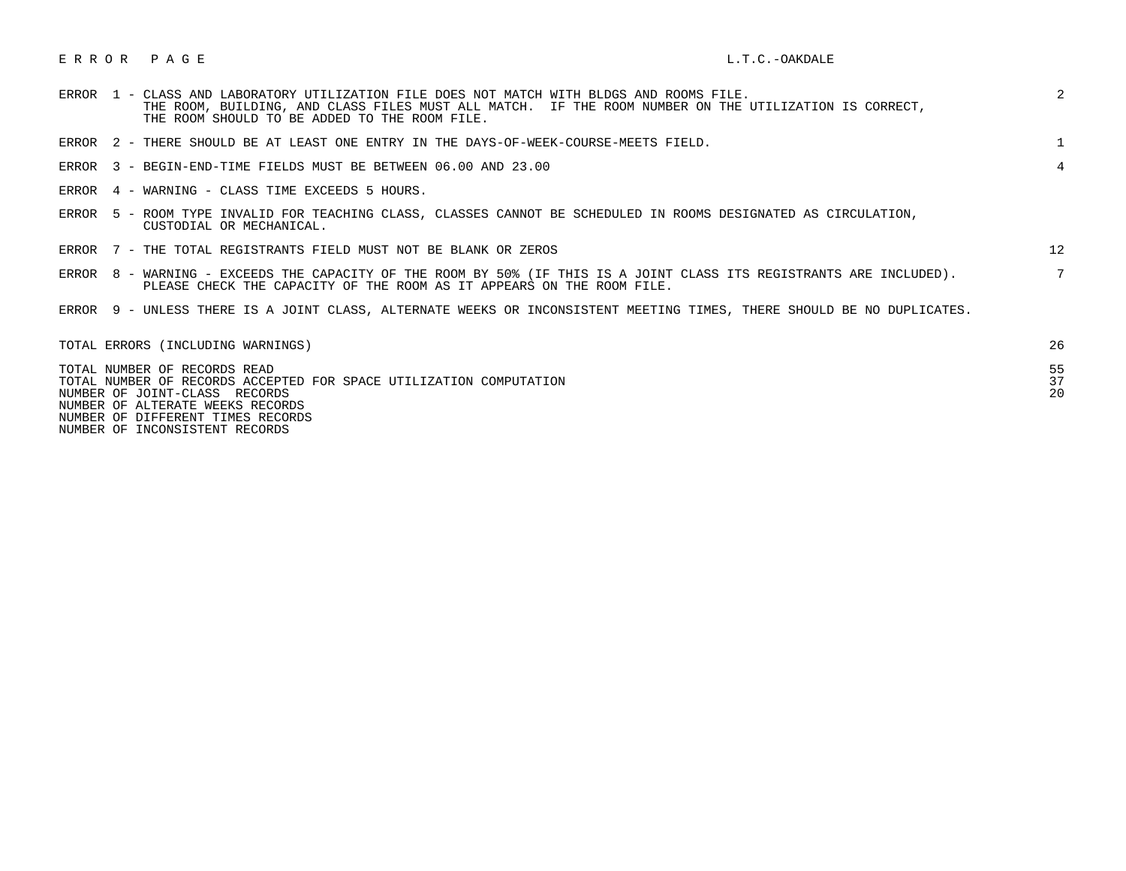## E R R O R P A G E L.T.C.-OAKDALE

|  | ERROR 1 - CLASS AND LABORATORY UTILIZATION FILE DOES NOT MATCH WITH BLDGS AND ROOMS FILE.<br>THE ROOM, BUILDING, AND CLASS FILES MUST ALL MATCH. IF THE ROOM NUMBER ON THE UTILIZATION IS CORRECT,<br>THE ROOM SHOULD TO BE ADDED TO THE ROOM FILE. | 2              |
|--|-----------------------------------------------------------------------------------------------------------------------------------------------------------------------------------------------------------------------------------------------------|----------------|
|  | ERROR 2 - THERE SHOULD BE AT LEAST ONE ENTRY IN THE DAYS-OF-WEEK-COURSE-MEETS FIELD.                                                                                                                                                                |                |
|  | ERROR 3 - BEGIN-END-TIME FIELDS MUST BE BETWEEN 06.00 AND 23.00                                                                                                                                                                                     | $\overline{4}$ |
|  | ERROR 4 - WARNING - CLASS TIME EXCEEDS 5 HOURS.                                                                                                                                                                                                     |                |
|  | ERROR 5 - ROOM TYPE INVALID FOR TEACHING CLASS, CLASSES CANNOT BE SCHEDULED IN ROOMS DESIGNATED AS CIRCULATION,<br>CUSTODIAL OR MECHANICAL.                                                                                                         |                |
|  | ERROR 7 - THE TOTAL REGISTRANTS FIELD MUST NOT BE BLANK OR ZEROS                                                                                                                                                                                    | 12             |
|  | ERROR 8 - WARNING - EXCEEDS THE CAPACITY OF THE ROOM BY 50% (IF THIS IS A JOINT CLASS ITS REGISTRANTS ARE INCLUDED).<br>PLEASE CHECK THE CAPACITY OF THE ROOM AS IT APPEARS ON THE ROOM FILE.                                                       |                |
|  | ERROR 9 - UNLESS THERE IS A JOINT CLASS, ALTERNATE WEEKS OR INCONSISTENT MEETING TIMES, THERE SHOULD BE NO DUPLICATES.                                                                                                                              |                |
|  | TOTAL ERRORS (INCLUDING WARNINGS)                                                                                                                                                                                                                   | 26             |
|  | TOTAL NUMBER OF RECORDS READ<br>TOTAL NUMBER OF RECORDS ACCEPTED FOR SPACE UTILIZATION COMPUTATION<br>NUMBER OF JOINT-CLASS RECORDS<br>NUMBER OF ALTERATE WEEKS RECORDS                                                                             | 55<br>37<br>20 |

NUMBER OF DIFFERENT TIMES RECORDS

NUMBER OF INCONSISTENT RECORDS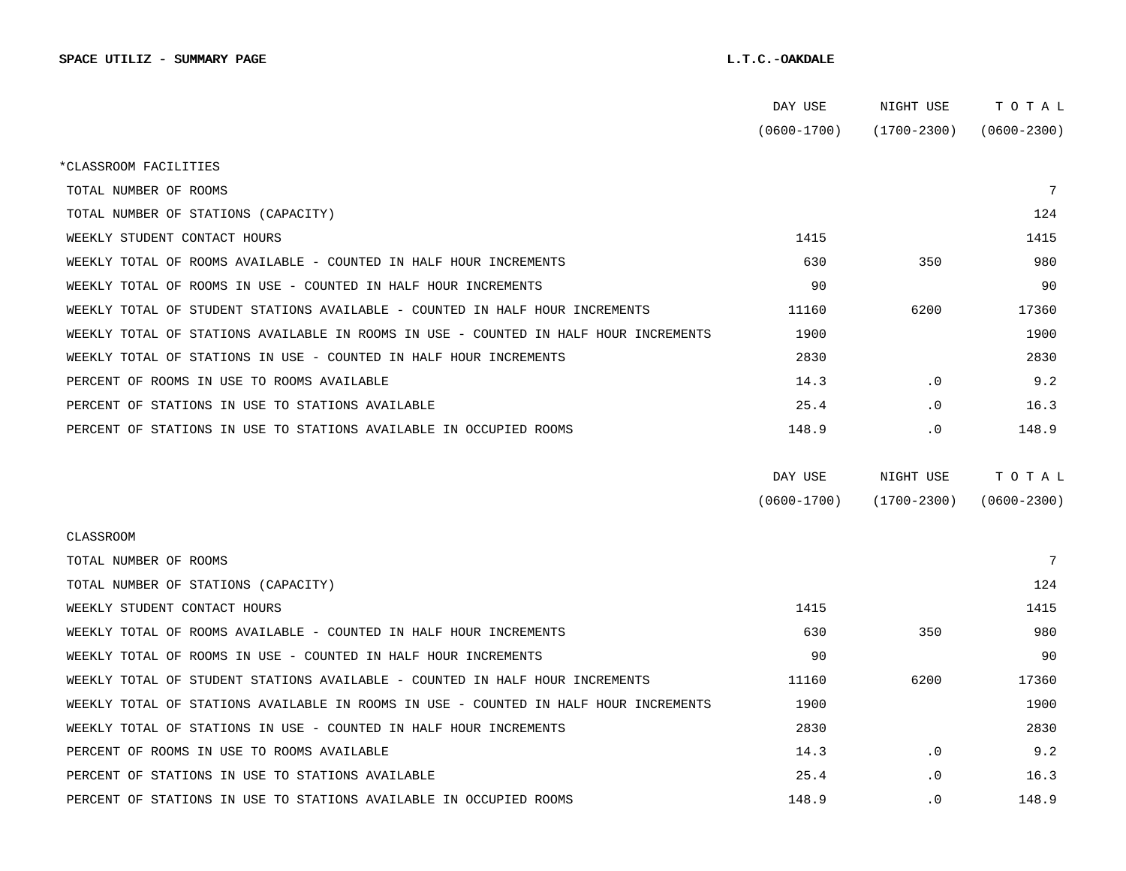|                                                                                      | DAY USE         | NIGHT USE       | тотаь           |  |
|--------------------------------------------------------------------------------------|-----------------|-----------------|-----------------|--|
|                                                                                      | $(0600 - 1700)$ | $(1700 - 2300)$ | $(0600 - 2300)$ |  |
| *CLASSROOM FACILITIES                                                                |                 |                 |                 |  |
| TOTAL NUMBER OF ROOMS                                                                |                 |                 | 7               |  |
| TOTAL NUMBER OF STATIONS (CAPACITY)                                                  |                 |                 | 124             |  |
| WEEKLY STUDENT CONTACT HOURS                                                         | 1415            |                 | 1415            |  |
| WEEKLY TOTAL OF ROOMS AVAILABLE - COUNTED IN HALF HOUR INCREMENTS                    | 630             | 350             | 980             |  |
| WEEKLY TOTAL OF ROOMS IN USE - COUNTED IN HALF HOUR INCREMENTS                       | 90              |                 | 90              |  |
| WEEKLY TOTAL OF STUDENT STATIONS AVAILABLE - COUNTED IN HALF HOUR INCREMENTS         | 11160           | 6200            | 17360           |  |
| WEEKLY TOTAL OF STATIONS AVAILABLE IN ROOMS IN USE - COUNTED IN HALF HOUR INCREMENTS | 1900            |                 | 1900            |  |
| WEEKLY TOTAL OF STATIONS IN USE - COUNTED IN HALF HOUR INCREMENTS                    | 2830            |                 | 2830            |  |
| PERCENT OF ROOMS IN USE TO ROOMS AVAILABLE                                           | 14.3            | $\cdot$ 0       | 9.2             |  |
| PERCENT OF STATIONS IN USE TO STATIONS AVAILABLE                                     | 25.4            | $\cdot$ 0       | 16.3            |  |
| PERCENT OF STATIONS IN USE TO STATIONS AVAILABLE IN OCCUPIED ROOMS                   | 148.9           | . 0             | 148.9           |  |
|                                                                                      |                 |                 |                 |  |
|                                                                                      | DAY USE         | NIGHT USE       | TOTAL           |  |
|                                                                                      | $(0600 - 1700)$ | $(1700 - 2300)$ | $(0600 - 2300)$ |  |
| CLASSROOM                                                                            |                 |                 |                 |  |
| TOTAL NUMBER OF ROOMS                                                                |                 |                 | 7               |  |
| TOTAL NUMBER OF STATIONS (CAPACITY)                                                  |                 |                 | 124             |  |
| WEEKLY STUDENT CONTACT HOURS                                                         | 1415            |                 | 1415            |  |
| WEEKLY TOTAL OF ROOMS AVAILABLE - COUNTED IN HALF HOUR INCREMENTS                    | 630             | 350             | 980             |  |
| WEEKLY TOTAL OF ROOMS IN USE - COUNTED IN HALF HOUR INCREMENTS                       | 90              |                 | 90              |  |
| WEEKLY TOTAL OF STUDENT STATIONS AVAILABLE - COUNTED IN HALF HOUR INCREMENTS         | 11160           | 6200            | 17360           |  |
| WEEKLY TOTAL OF STATIONS AVAILABLE IN ROOMS IN USE - COUNTED IN HALF HOUR INCREMENTS | 1900            |                 | 1900            |  |
| WEEKLY TOTAL OF STATIONS IN USE - COUNTED IN HALF HOUR INCREMENTS                    | 2830            |                 | 2830            |  |
| PERCENT OF ROOMS IN USE TO ROOMS AVAILABLE                                           | 14.3            | $\cdot$ 0       | 9.2             |  |
| PERCENT OF STATIONS IN USE TO STATIONS AVAILABLE                                     | 25.4            | $\cdot$ 0       | 16.3            |  |
| PERCENT OF STATIONS IN USE TO STATIONS AVAILABLE IN OCCUPIED ROOMS                   | 148.9           | $\cdot$ 0       | 148.9           |  |